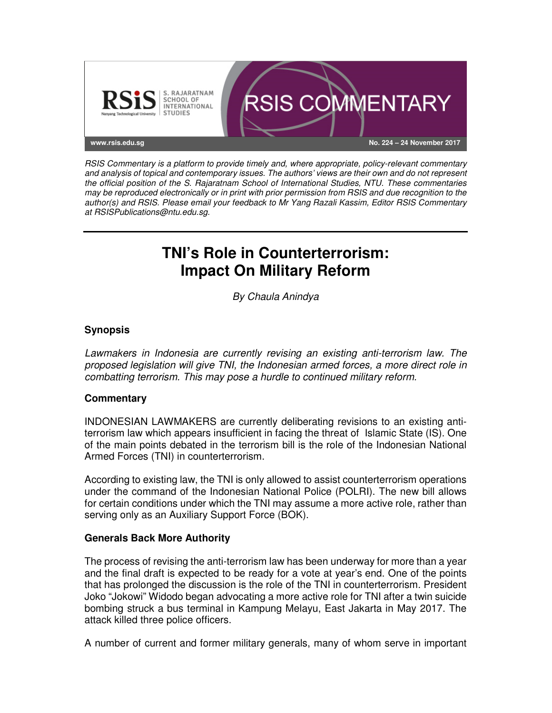

RSIS Commentary is a platform to provide timely and, where appropriate, policy-relevant commentary and analysis of topical and contemporary issues. The authors' views are their own and do not represent the official position of the S. Rajaratnam School of International Studies, NTU. These commentaries may be reproduced electronically or in print with prior permission from RSIS and due recognition to the author(s) and RSIS. Please email your feedback to Mr Yang Razali Kassim, Editor RSIS Commentary at RSISPublications@ntu.edu.sg.

# **TNI's Role in Counterterrorism: Impact On Military Reform**

By Chaula Anindya

## **Synopsis**

Lawmakers in Indonesia are currently revising an existing anti-terrorism law. The proposed legislation will give TNI, the Indonesian armed forces, a more direct role in combatting terrorism. This may pose a hurdle to continued military reform.

### **Commentary**

INDONESIAN LAWMAKERS are currently deliberating revisions to an existing antiterrorism law which appears insufficient in facing the threat of Islamic State (IS). One of the main points debated in the terrorism bill is the role of the Indonesian National Armed Forces (TNI) in counterterrorism.

According to existing law, the TNI is only allowed to assist counterterrorism operations under the command of the Indonesian National Police (POLRI). The new bill allows for certain conditions under which the TNI may assume a more active role, rather than serving only as an Auxiliary Support Force (BOK).

### **Generals Back More Authority**

The process of revising the anti-terrorism law has been underway for more than a year and the final draft is expected to be ready for a vote at year's end. One of the points that has prolonged the discussion is the role of the TNI in counterterrorism. President Joko "Jokowi" Widodo began advocating a more active role for TNI after a twin suicide bombing struck a bus terminal in Kampung Melayu, East Jakarta in May 2017. The attack killed three police officers.

A number of current and former military generals, many of whom serve in important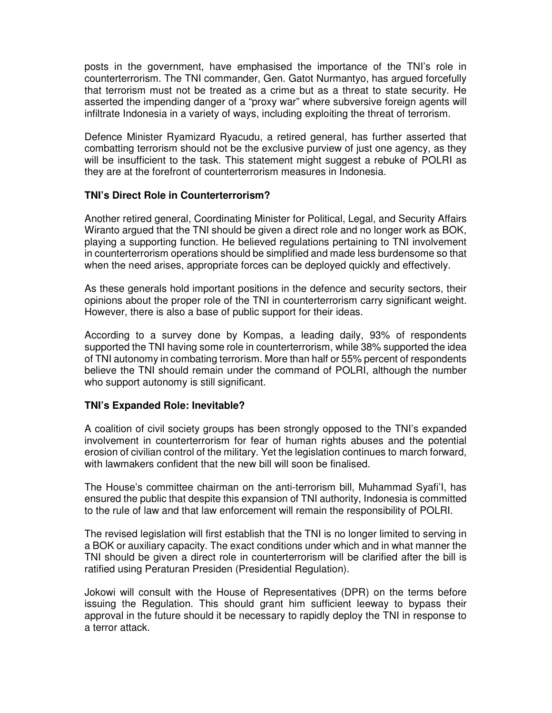posts in the government, have emphasised the importance of the TNI's role in counterterrorism. The TNI commander, Gen. Gatot Nurmantyo, has argued forcefully that terrorism must not be treated as a crime but as a threat to state security. He asserted the impending danger of a "proxy war" where subversive foreign agents will infiltrate Indonesia in a variety of ways, including exploiting the threat of terrorism.

Defence Minister Ryamizard Ryacudu, a retired general, has further asserted that combatting terrorism should not be the exclusive purview of just one agency, as they will be insufficient to the task. This statement might suggest a rebuke of POLRI as they are at the forefront of counterterrorism measures in Indonesia.

### **TNI's Direct Role in Counterterrorism?**

Another retired general, Coordinating Minister for Political, Legal, and Security Affairs Wiranto argued that the TNI should be given a direct role and no longer work as BOK, playing a supporting function. He believed regulations pertaining to TNI involvement in counterterrorism operations should be simplified and made less burdensome so that when the need arises, appropriate forces can be deployed quickly and effectively.

As these generals hold important positions in the defence and security sectors, their opinions about the proper role of the TNI in counterterrorism carry significant weight. However, there is also a base of public support for their ideas.

According to a survey done by Kompas, a leading daily, 93% of respondents supported the TNI having some role in counterterrorism, while 38% supported the idea of TNI autonomy in combating terrorism. More than half or 55% percent of respondents believe the TNI should remain under the command of POLRI, although the number who support autonomy is still significant.

## **TNI's Expanded Role: Inevitable?**

A coalition of civil society groups has been strongly opposed to the TNI's expanded involvement in counterterrorism for fear of human rights abuses and the potential erosion of civilian control of the military. Yet the legislation continues to march forward, with lawmakers confident that the new bill will soon be finalised.

The House's committee chairman on the anti-terrorism bill, Muhammad Syafi'I, has ensured the public that despite this expansion of TNI authority, Indonesia is committed to the rule of law and that law enforcement will remain the responsibility of POLRI.

The revised legislation will first establish that the TNI is no longer limited to serving in a BOK or auxiliary capacity. The exact conditions under which and in what manner the TNI should be given a direct role in counterterrorism will be clarified after the bill is ratified using Peraturan Presiden (Presidential Regulation).

Jokowi will consult with the House of Representatives (DPR) on the terms before issuing the Regulation. This should grant him sufficient leeway to bypass their approval in the future should it be necessary to rapidly deploy the TNI in response to a terror attack.